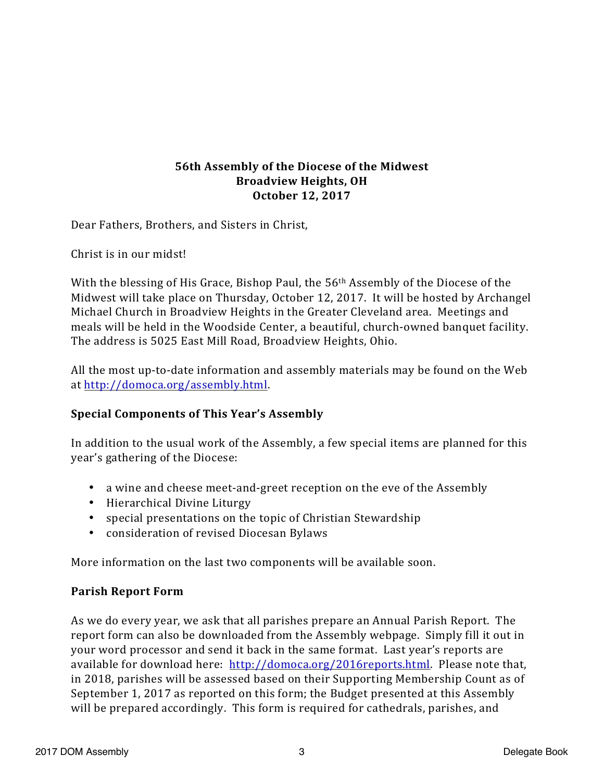## **56th Assembly of the Diocese of the Midwest Broadview Heights, OH October 12, 2017**

Dear Fathers, Brothers, and Sisters in Christ,

Christ is in our midst!

With the blessing of His Grace, Bishop Paul, the  $56<sup>th</sup>$  Assembly of the Diocese of the Midwest will take place on Thursday, October 12, 2017. It will be hosted by Archangel Michael Church in Broadview Heights in the Greater Cleveland area. Meetings and meals will be held in the Woodside Center, a beautiful, church-owned banquet facility. The address is 5025 East Mill Road, Broadview Heights, Ohio.

All the most up-to-date information and assembly materials may be found on the Web at http://domoca.org/assembly.html.

### **Special Components of This Year's Assembly**

In addition to the usual work of the Assembly, a few special items are planned for this year's gathering of the Diocese:

- a wine and cheese meet-and-greet reception on the eve of the Assembly
- Hierarchical Divine Liturgy
- special presentations on the topic of Christian Stewardship
- consideration of revised Diocesan Bylaws

More information on the last two components will be available soon.

#### **Parish Report Form**

As we do every year, we ask that all parishes prepare an Annual Parish Report. The report form can also be downloaded from the Assembly webpage. Simply fill it out in your word processor and send it back in the same format. Last year's reports are available for download here: http://domoca.org/2016reports.html. Please note that, in 2018, parishes will be assessed based on their Supporting Membership Count as of September 1, 2017 as reported on this form; the Budget presented at this Assembly will be prepared accordingly. This form is required for cathedrals, parishes, and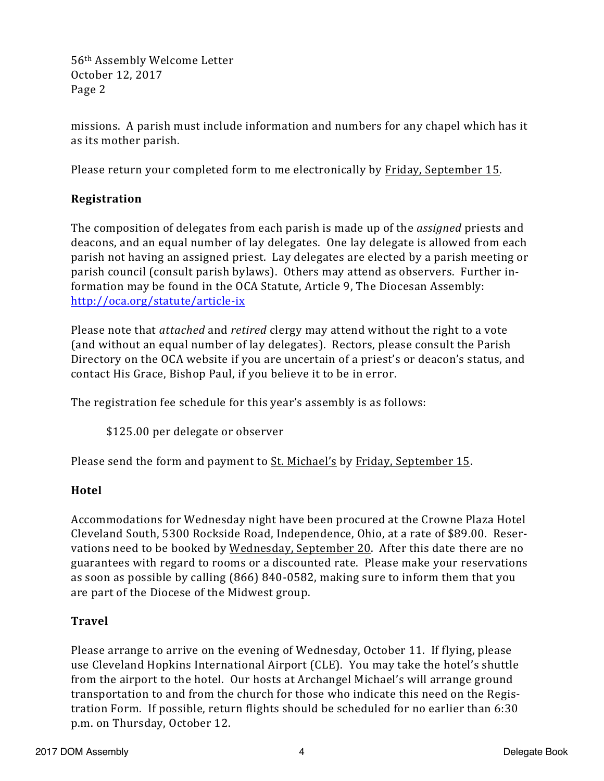56<sup>th</sup> Assembly Welcome Letter October 12, 2017 Page 2

missions. A parish must include information and numbers for any chapel which has it as its mother parish.

Please return your completed form to me electronically by Friday, September 15.

# **Registration**

The composition of delegates from each parish is made up of the *assigned* priests and deacons, and an equal number of lay delegates. One lay delegate is allowed from each parish not having an assigned priest. Lay delegates are elected by a parish meeting or parish council (consult parish bylaws). Others may attend as observers. Further information may be found in the OCA Statute, Article 9, The Diocesan Assembly: http://oca.org/statute/article-ix

Please note that *attached* and *retired* clergy may attend without the right to a vote (and without an equal number of lay delegates). Rectors, please consult the Parish Directory on the OCA website if you are uncertain of a priest's or deacon's status, and contact His Grace, Bishop Paul, if you believe it to be in error.

The registration fee schedule for this year's assembly is as follows:

\$125.00 per delegate or observer

Please send the form and payment to St. Michael's by Friday, September 15.

### **Hotel**

Accommodations for Wednesday night have been procured at the Crowne Plaza Hotel Cleveland South, 5300 Rockside Road, Independence, Ohio, at a rate of \$89.00. Reservations need to be booked by Wednesday, September 20. After this date there are no guarantees with regard to rooms or a discounted rate. Please make your reservations as soon as possible by calling (866) 840-0582, making sure to inform them that you are part of the Diocese of the Midwest group.

### **Travel**

Please arrange to arrive on the evening of Wednesday, October 11. If flying, please use Cleveland Hopkins International Airport (CLE). You may take the hotel's shuttle from the airport to the hotel. Our hosts at Archangel Michael's will arrange ground transportation to and from the church for those who indicate this need on the Registration Form. If possible, return flights should be scheduled for no earlier than 6:30 p.m. on Thursday, October 12.